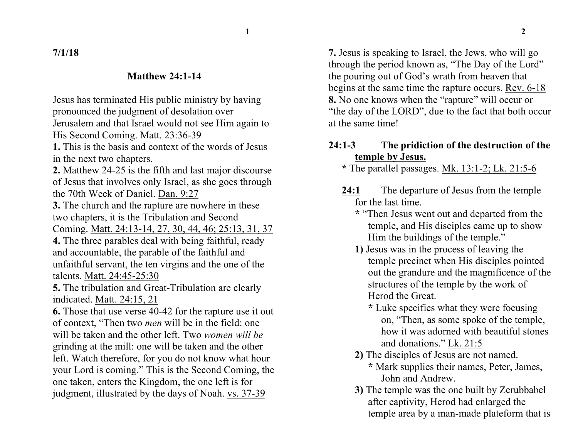**7/1/18**

## **Matthew 24:1-14**

Jesus has terminated His public ministry by having pronounced the judgment of desolation over Jerusalem and that Israel would not see Him again to His Second Coming. Matt. 23:36-39

**1.** This is the basis and context of the words of Jesus in the next two chapters.

**2.** Matthew 24-25 is the fifth and last major discourse of Jesus that involves only Israel, as she goes through the 70th Week of Daniel. Dan. 9:27

**3.** The church and the rapture are nowhere in these two chapters, it is the Tribulation and Second Coming. Matt. 24:13-14, 27, 30, 44, 46; 25:13, 31, 37

**4.** The three parables deal with being faithful, ready and accountable, the parable of the faithful and unfaithful servant, the ten virgins and the one of the talents. Matt. 24:45-25:30

**5.** The tribulation and Great-Tribulation are clearly indicated. Matt. 24:15, 21

**6.** Those that use verse 40-42 for the rapture use it out of context, "Then two *men* will be in the field: one will be taken and the other left. Two *women will be* grinding at the mill: one will be taken and the other left. Watch therefore, for you do not know what hour your Lord is coming." This is the Second Coming, the one taken, enters the Kingdom, the one left is for judgment, illustrated by the days of Noah. vs. 37-39

**7.** Jesus is speaking to Israel, the Jews, who will go through the period known as, "The Day of the Lord" the pouring out of God's wrath from heaven that begins at the same time the rapture occurs. Rev. 6-18 **8.** No one knows when the "rapture" will occur or "the day of the LORD", due to the fact that both occur at the same time!

## **24:1-3 The pridiction of the destruction of the temple by Jesus.**

**\*** The parallel passages. Mk. 13:1-2; Lk. 21:5-6

- **24:1** The departure of Jesus from the temple for the last time.
	- **\*** "Then Jesus went out and departed from the temple, and His disciples came up to show Him the buildings of the temple."
	- **1)** Jesus was in the process of leaving the temple precinct when His disciples pointed out the grandure and the magnificence of the structures of the temple by the work of Herod the Great.
		- **\*** Luke specifies what they were focusing on, "Then, as some spoke of the temple, how it was adorned with beautiful stones and donations." Lk. 21:5
	- **2)** The disciples of Jesus are not named.
		- **\*** Mark supplies their names, Peter, James, John and Andrew.
	- **3)** The temple was the one built by Zerubbabel after captivity, Herod had enlarged the temple area by a man-made plateform that is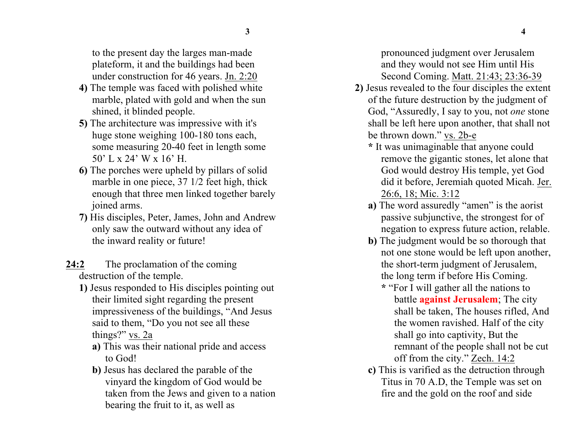to the present day the larges man-made plateform, it and the buildings had been under construction for 46 years. Jn. 2:20

- **4)** The temple was faced with polished white marble, plated with gold and when the sun shined, it blinded people.
- **5)** The architecture was impressive with it's huge stone weighing 100-180 tons each, some measuring 20-40 feet in length some 50' L x 24' W x 16' H.
- **6)** The porches were upheld by pillars of solid marble in one piece, 37 1/2 feet high, thick enough that three men linked together barely joined arms.
- **7)** His disciples, Peter, James, John and Andrew only saw the outward without any idea of the inward reality or future!
- 24:2 The proclamation of the coming destruction of the temple.
	- **1)** Jesus responded to His disciples pointing out their limited sight regarding the present impressiveness of the buildings, "And Jesus said to them, "Do you not see all these things?" vs. 2a
		- **a)** This was their national pride and access to God!
		- **b)** Jesus has declared the parable of the vinyard the kingdom of God would be taken from the Jews and given to a nation bearing the fruit to it, as well as

pronounced judgment over Jerusalem and they would not see Him until His Second Coming. Matt. 21:43; 23:36-39

- **2)** Jesus revealed to the four disciples the extent of the future destruction by the judgment of God, "Assuredly, I say to you, not *one* stone shall be left here upon another, that shall not be thrown down." vs. 2b-e
	- **\*** It was unimaginable that anyone could remove the gigantic stones, let alone that God would destroy His temple, yet God did it before, Jeremiah quoted Micah. Jer. 26:6, 18; Mic. 3:12
	- **a)** The word assuredly "amen" is the aorist passive subjunctive, the strongest for of negation to express future action, relable.
	- **b)** The judgment would be so thorough that not one stone would be left upon another, the short-term judgment of Jerusalem, the long term if before His Coming.
		- **\*** "For I will gather all the nations to battle **against Jerusalem**; The city shall be taken, The houses rifled, And the women ravished. Half of the city shall go into captivity, But the remnant of the people shall not be cut off from the city." Zech. 14:2
	- **c)** This is varified as the detruction through Titus in 70 A.D, the Temple was set on fire and the gold on the roof and side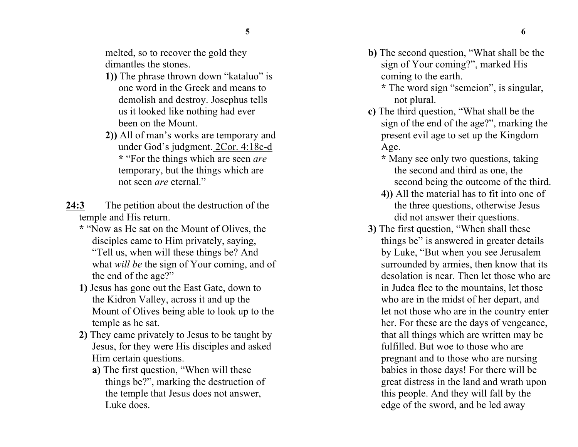melted, so to recover the gold they dimantles the stones.

- **1))** The phrase thrown down "kataluo" is one word in the Greek and means to demolish and destroy. Josephus tells us it looked like nothing had ever been on the Mount.
- **2))** All of man's works are temporary and under God's judgment. 2Cor. 4:18c-d **\*** "For the things which are seen *are* temporary, but the things which are not seen *are* eternal."
- **24:3** The petition about the destruction of the temple and His return.
	- **\*** "Now as He sat on the Mount of Olives, the disciples came to Him privately, saying, "Tell us, when will these things be? And what *will be* the sign of Your coming, and of the end of the age?"
	- **1)** Jesus has gone out the East Gate, down to the Kidron Valley, across it and up the Mount of Olives being able to look up to the temple as he sat.
	- **2)** They came privately to Jesus to be taught by Jesus, for they were His disciples and asked Him certain questions.
		- **a)** The first question, "When will these things be?", marking the destruction of the temple that Jesus does not answer, Luke does.
- **b)** The second question, "What shall be the sign of Your coming?", marked His coming to the earth.
	- **\*** The word sign "semeion", is singular, not plural.
- **c)** The third question, "What shall be the sign of the end of the age?", marking the present evil age to set up the Kingdom Age.
	- **\*** Many see only two questions, taking the second and third as one, the second being the outcome of the third.
	- **4))** All the material has to fit into one of the three questions, otherwise Jesus did not answer their questions.
- **3)** The first question, "When shall these things be" is answered in greater details by Luke, "But when you see Jerusalem surrounded by armies, then know that its desolation is near. Then let those who are in Judea flee to the mountains, let those who are in the midst of her depart, and let not those who are in the country enter her. For these are the days of vengeance, that all things which are written may be fulfilled. But woe to those who are pregnant and to those who are nursing babies in those days! For there will be great distress in the land and wrath upon this people. And they will fall by the edge of the sword, and be led away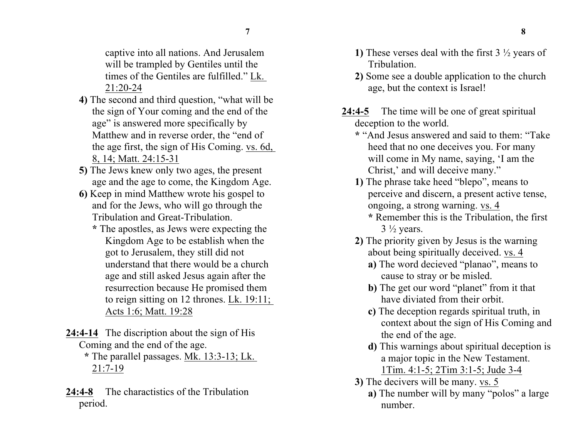captive into all nations. And Jerusalem will be trampled by Gentiles until the times of the Gentiles are fulfilled." Lk. 21:20-24

- **4)** The second and third question, "what will be the sign of Your coming and the end of the age" is answered more specifically by Matthew and in reverse order, the "end of the age first, the sign of His Coming. vs. 6d, 8, 14; Matt. 24:15-31
- **5)** The Jews knew only two ages, the present age and the age to come, the Kingdom Age.
- **6)** Keep in mind Matthew wrote his gospel to and for the Jews, who will go through the Tribulation and Great-Tribulation.
	- **\*** The apostles, as Jews were expecting the Kingdom Age to be establish when the got to Jerusalem, they still did not understand that there would be a church age and still asked Jesus again after the resurrection because He promised them to reign sitting on 12 thrones. Lk. 19:11; Acts 1:6; Matt. 19:28
- **24:4-14** The discription about the sign of His Coming and the end of the age.
	- **\*** The parallel passages. Mk. 13:3-13; Lk. 21:7-19
- **24:4-8** The charactistics of the Tribulation period.
- **1)** These verses deal with the first 3 ½ years of Tribulation.
- **2)** Some see a double application to the church age, but the context is Israel!
- **24:4-5** The time will be one of great spiritual deception to the world.
	- **\*** "And Jesus answered and said to them: "Take heed that no one deceives you. For many will come in My name, saying, 'I am the Christ,' and will deceive many."
	- **1)** The phrase take heed "blepo", means to perceive and discern, a present active tense, ongoing, a strong warning. vs. 4
		- **\*** Remember this is the Tribulation, the first  $3\frac{1}{2}$  years.
	- **2)** The priority given by Jesus is the warning about being spiritually deceived. vs. 4
		- **a)** The word decieved "planao", means to cause to stray or be misled.
		- **b**) The get our word "planet" from it that have diviated from their orbit.
		- **c)** The deception regards spiritual truth, in context about the sign of His Coming and the end of the age.
		- **d)** This warnings about spiritual deception is a major topic in the New Testament. 1Tim. 4:1-5; 2Tim 3:1-5; Jude 3-4
	- **3)** The decivers will be many. vs. 5
		- **a)** The number will by many "polos" a large number.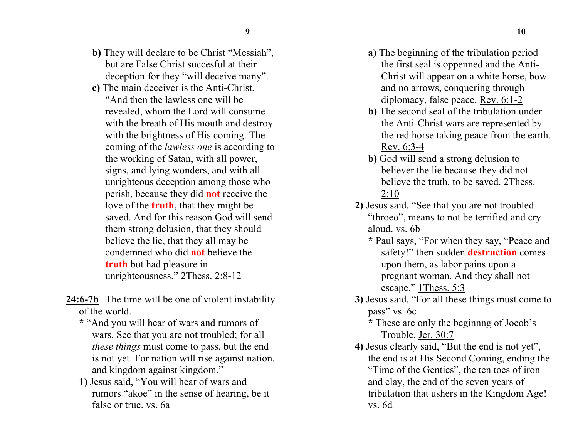- **b)** They will declare to be Christ "Messiah", but are False Christ succesful at their deception for they "will deceive many".
- **c)** The main deceiver is the Anti-Christ, "And then the lawless one will be revealed, whom the Lord will consume with the breath of His mouth and destroy with the brightness of His coming. The coming of the *lawless one* is according to the working of Satan, with all power, signs, and lying wonders, and with all unrighteous deception among those who perish, because they did **not** receive the love of the **truth**, that they might be saved. And for this reason God will send them strong delusion, that they should believe the lie, that they all may be condemned who did **not** believe the **truth** but had pleasure in unrighteousness." 2Thess. 2:8-12
- 24:6-7b The time will be one of violent instability of the world.
	- **\*** "And you will hear of wars and rumors of wars. See that you are not troubled; for all *these things* must come to pass, but the end is not yet. For nation will rise against nation, and kingdom against kingdom."
	- **1)** Jesus said, "You will hear of wars and rumors "akoe" in the sense of hearing, be it false or true. vs. 6a
- **a)** The beginning of the tribulation period the first seal is oppenned and the Anti-Christ will appear on a white horse, bow and no arrows, conquering through diplomacy, false peace. Rev. 6:1-2
- **b)** The second seal of the tribulation under the Anti-Christ wars are represented by the red horse taking peace from the earth. Rev. 6:3-4
- **b**) God will send a strong delusion to believer the lie because they did not believe the truth. to be saved. 2Thess. 2:10
- **2)** Jesus said, "See that you are not troubled "throeo", means to not be terrified and cry aloud. vs. 6b
	- **\*** Paul says, "For when they say, "Peace and safety!" then sudden **destruction** comes upon them, as labor pains upon a pregnant woman. And they shall not escape." 1Thess. 5:3
- **3)** Jesus said, "For all these things must come to pass" vs. 6c
	- **\*** These are only the beginnng of Jocob's Trouble. Jer. 30:7
- **4)** Jesus clearly said, "But the end is not yet", the end is at His Second Coming, ending the "Time of the Genties", the ten toes of iron and clay, the end of the seven years of tribulation that ushers in the Kingdom Age! vs. 6d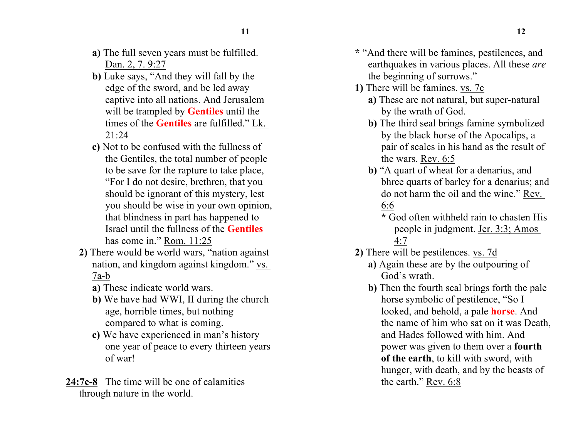- **a)** The full seven years must be fulfilled. Dan. 2, 7. 9:27
- **b)** Luke says, "And they will fall by the edge of the sword, and be led away captive into all nations. And Jerusalem will be trampled by **Gentiles** until the times of the **Gentiles** are fulfilled." Lk. 21:24
- **c)** Not to be confused with the fullness of the Gentiles, the total number of people to be save for the rapture to take place, "For I do not desire, brethren, that you should be ignorant of this mystery, lest you should be wise in your own opinion, that blindness in part has happened to Israel until the fullness of the **Gentiles** has come in." Rom. 11:25
- **2)** There would be world wars, "nation against nation, and kingdom against kingdom." vs. 7a-b
	- **a)** These indicate world wars.
	- **b)** We have had WWI, II during the church age, horrible times, but nothing compared to what is coming.
	- **c)** We have experienced in man's history one year of peace to every thirteen years of war!
- **24:7c-8** The time will be one of calamities through nature in the world.
- **\*** "And there will be famines, pestilences, and earthquakes in various places. All these *are* the beginning of sorrows."
- **1)** There will be famines. vs. 7c
	- **a)** These are not natural, but super-natural by the wrath of God.
	- **b)** The third seal brings famine symbolized by the black horse of the Apocalips, a pair of scales in his hand as the result of the wars. Rev. 6:5
	- **b)** "A quart of wheat for a denarius, and bhree quarts of barley for a denarius; and do not harm the oil and the wine." Rev. 6:6
		- **\*** God often withheld rain to chasten His people in judgment. Jer. 3:3; Amos 4:7
- **2)** There will be pestilences. vs. 7d
	- **a)** Again these are by the outpouring of God's wrath.
	- **b)** Then the fourth seal brings forth the pale horse symbolic of pestilence, "So I looked, and behold, a pale **horse**. And the name of him who sat on it was Death, and Hades followed with him. And power was given to them over a **fourth of the earth**, to kill with sword, with hunger, with death, and by the beasts of the earth." Rev. 6:8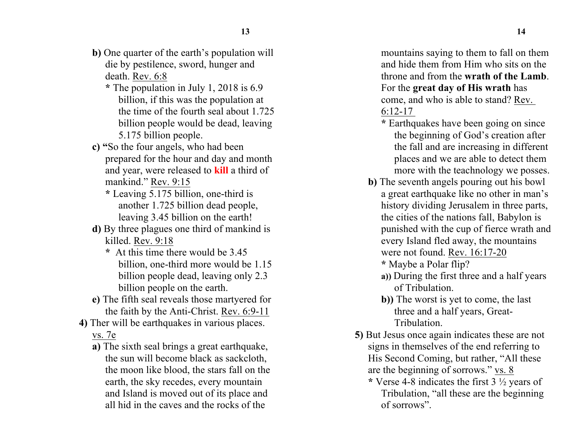- **b)** One quarter of the earth's population will die by pestilence, sword, hunger and death. Rev. 6:8
	- **\*** The population in July 1, 2018 is 6.9 billion, if this was the population at the time of the fourth seal about 1.725 billion people would be dead, leaving 5.175 billion people.
- **c) "**So the four angels, who had been prepared for the hour and day and month and year, were released to **kill** a third of mankind." Rev. 9:15
	- **\*** Leaving 5.175 billion, one-third is another 1.725 billion dead people, leaving 3.45 billion on the earth!
- **d)** By three plagues one third of mankind is killed. Rev. 9:18
	- **\*** At this time there would be 3.45 billion, one-third more would be 1.15 billion people dead, leaving only 2.3 billion people on the earth.
- **e)** The fifth seal reveals those martyered for the faith by the Anti-Christ. Rev. 6:9-11
- **4)** Ther will be earthquakes in various places. vs. 7e
	- **a)** The sixth seal brings a great earthquake, the sun will become black as sackcloth, the moon like blood, the stars fall on the earth, the sky recedes, every mountain and Island is moved out of its place and all hid in the caves and the rocks of the

mountains saying to them to fall on them and hide them from Him who sits on the throne and from the **wrath of the Lamb**. For the **great day of His wrath** has come, and who is able to stand? Rev. 6:12-17

- **\*** Earthquakes have been going on since the beginning of God's creation after the fall and are increasing in different places and we are able to detect them more with the teachnology we posses.
- **b)** The seventh angels pouring out his bowl a great earthquake like no other in man's history dividing Jerusalem in three parts, the cities of the nations fall, Babylon is punished with the cup of fierce wrath and every Island fled away, the mountains were not found. Rev. 16:17-20
	- **\*** Maybe a Polar flip?
	- **a))** During the first three and a half years of Tribulation.
	- **b))** The worst is yet to come, the last three and a half years, Great-Tribulation.
- **5)** But Jesus once again indicates these are not signs in themselves of the end referring to His Second Coming, but rather, "All these are the beginning of sorrows." vs. 8
	- **\*** Verse 4-8 indicates the first 3 ½ years of Tribulation, "all these are the beginning of sorrows".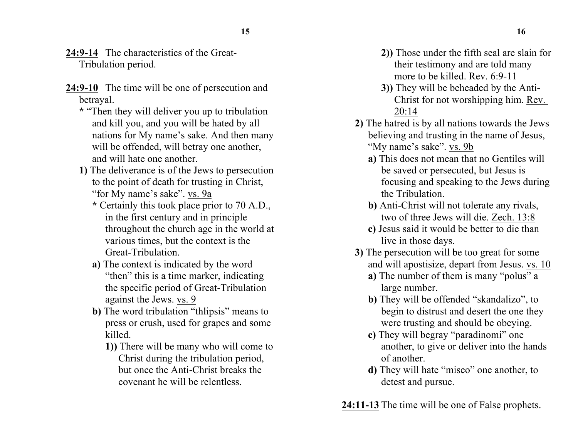- **24:9-14** The characteristics of the Great-Tribulation period.
- **24:9-10** The time will be one of persecution and betrayal.
	- **\*** "Then they will deliver you up to tribulation and kill you, and you will be hated by all nations for My name's sake. And then many will be offended, will betray one another, and will hate one another.
	- **1)** The deliverance is of the Jews to persecution to the point of death for trusting in Christ, "for My name's sake". vs. 9a
		- **\*** Certainly this took place prior to 70 A.D., in the first century and in principle throughout the church age in the world at various times, but the context is the Great-Tribulation.
		- **a)** The context is indicated by the word "then" this is a time marker, indicating the specific period of Great-Tribulation against the Jews. vs. 9
		- **b)** The word tribulation "thlipsis" means to press or crush, used for grapes and some killed.
			- **1))** There will be many who will come to Christ during the tribulation period, but once the Anti-Christ breaks the covenant he will be relentless.
- **2))** Those under the fifth seal are slain for their testimony and are told many more to be killed. Rev. 6:9-11
- **3))** They will be beheaded by the Anti-Christ for not worshipping him. Rev. 20:14
- **2)** The hatred is by all nations towards the Jews believing and trusting in the name of Jesus, "My name's sake". vs. 9b
	- **a)** This does not mean that no Gentiles will be saved or persecuted, but Jesus is focusing and speaking to the Jews during the Tribulation.
	- **b)** Anti-Christ will not tolerate any rivals, two of three Jews will die. Zech. 13:8
	- **c)** Jesus said it would be better to die than live in those days.
- **3)** The persecution will be too great for some and will apostisize, depart from Jesus. vs. 10
	- **a)** The number of them is many "polus" a large number.
	- **b)** They will be offended "skandalizo", to begin to distrust and desert the one they were trusting and should be obeying.
	- **c)** They will begray "paradinomi" one another, to give or deliver into the hands of another.
	- **d)** They will hate "miseo" one another, to detest and pursue.

**24:11-13** The time will be one of False prophets.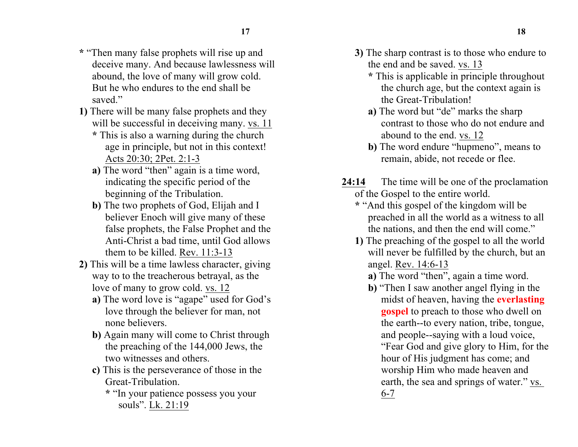- **\*** "Then many false prophets will rise up and deceive many. And because lawlessness will abound, the love of many will grow cold. But he who endures to the end shall be saved."
- **1)** There will be many false prophets and they will be successful in deceiving many. vs. 11
	- **\*** This is also a warning during the church age in principle, but not in this context! Acts 20:30; 2Pet. 2:1-3
	- **a)** The word "then" again is a time word, indicating the specific period of the beginning of the Tribulation.
	- **b)** The two prophets of God, Elijah and I believer Enoch will give many of these false prophets, the False Prophet and the Anti-Christ a bad time, until God allows them to be killed. Rev. 11:3-13
- **2)** This will be a time lawless character, giving way to to the treacherous betrayal, as the love of many to grow cold. vs. 12
	- **a)** The word love is "agape" used for God's love through the believer for man, not none believers.
	- **b)** Again many will come to Christ through the preaching of the 144,000 Jews, the two witnesses and others.
	- **c)** This is the perseverance of those in the Great-Tribulation.
		- **\*** "In your patience possess you your souls". Lk. 21:19
- **3)** The sharp contrast is to those who endure to the end and be saved. vs. 13
	- **\*** This is applicable in principle throughout the church age, but the context again is the Great-Tribulation!
	- **a)** The word but "de" marks the sharp contrast to those who do not endure and abound to the end. vs. 12
	- **b)** The word endure "hupmeno", means to remain, abide, not recede or flee.
- **24:14** The time will be one of the proclamation of the Gospel to the entire world.
	- **\*** "And this gospel of the kingdom will be preached in all the world as a witness to all the nations, and then the end will come."
	- **1)** The preaching of the gospel to all the world will never be fulfilled by the church, but an angel. Rev. 14:6-13
		- **a)** The word "then", again a time word.
		- **b)** "Then I saw another angel flying in the midst of heaven, having the **everlasting gospel** to preach to those who dwell on the earth--to every nation, tribe, tongue, and people--saying with a loud voice, "Fear God and give glory to Him, for the hour of His judgment has come; and worship Him who made heaven and earth, the sea and springs of water." vs. 6-7